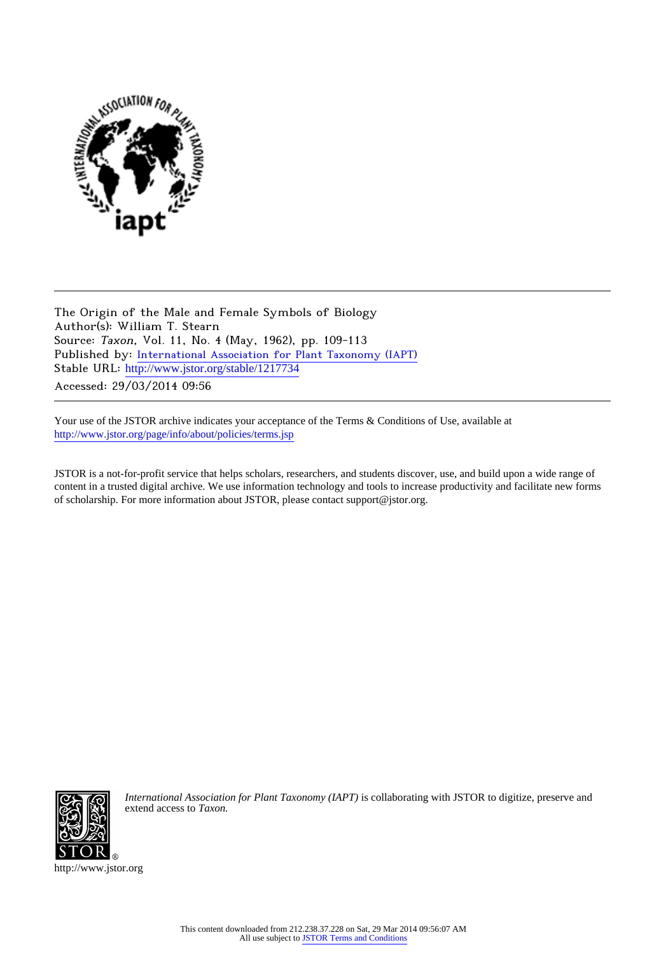

The Origin of the Male and Female Symbols of Biology Author(s): William T. Stearn Source: Taxon, Vol. 11, No. 4 (May, 1962), pp. 109-113 Published by: [International Association for Plant Taxonomy \(IAPT\)](http://www.jstor.org/action/showPublisher?publisherCode=iapt) Stable URL: [http://www.jstor.org/stable/1217734](http://www.jstor.org/stable/1217734?origin=JSTOR-pdf) Accessed: 29/03/2014 09:56

Your use of the JSTOR archive indicates your acceptance of the Terms & Conditions of Use, available at <http://www.jstor.org/page/info/about/policies/terms.jsp>

JSTOR is a not-for-profit service that helps scholars, researchers, and students discover, use, and build upon a wide range of content in a trusted digital archive. We use information technology and tools to increase productivity and facilitate new forms of scholarship. For more information about JSTOR, please contact support@jstor.org.



*International Association for Plant Taxonomy (IAPT)* is collaborating with JSTOR to digitize, preserve and extend access to *Taxon.*

http://www.jstor.org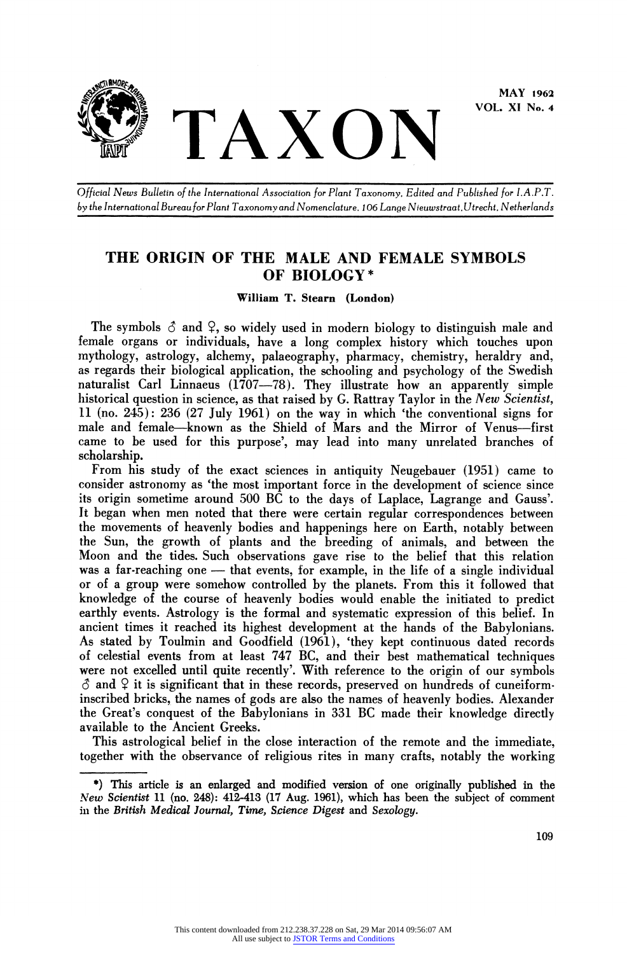

**VOL. XI No. 4** 

**Official News Bulletin of the International Association for Plant Taxonomy. Edited and Published for I.A.P.T. by the International Bureaufor Plant Taxonomy and Nomenclature. 106 Lange Nieuwstraat.Utrecht. Netherlands** 

## **THE ORIGIN OF THE MALE AND FEMALE SYMBOLS OF BIOLOGY\***

**William T. Steam (London)** 

The symbols  $\hat{\circ}$  and  $\hat{\circ}$ , so widely used in modern biology to distinguish male and **female organs or individuals, have a long complex history which touches upon mythology, astrology, alchemy, palaeography, pharmacy, chemistry, heraldry and, as regards their biological application, the schooling and psychology of the Swedish naturalist Carl Linnaeus (1707-78). They illustrate how an apparently simple historical question in science, as that raised by G. Rattray Taylor in the New Scientist, 11 (no. 245): 236 (27 July 1961) on the way in which 'the conventional signs for male and female-known as the Shield of Mars and the Mirror of Venus-first came to be used for this purpose', may lead into many unrelated branches of scholarship.** 

**From his study of the exact sciences in antiquity Neugebauer (1951) came to consider astronomy as 'the most important force in the development of science since its origin sometime around 500 BC to the days of Laplace, Lagrange and Gauss'. It began when men noted that there were certain regular correspondences between the movements of heavenly bodies and happenings here on Earth, notably between the Sun, the growth of plants and the breeding of animals, and between the Moon and the tides. Such observations gave rise to the belief that this relation**  was a far-reaching one — that events, for example, in the life of a single individual **or of a group were somehow controlled by the planets. From this it followed that knowledge of the course of heavenly bodies would enable the initiated to predict earthly events. Astrology is the formal and systematic expression of this belief. In ancient times it reached its highest development at the hands of the Babylonians. As stated by Toulmin and Goodfield (1961), 'they kept continuous dated records of celestial events from at least 747 BC, and their best mathematical techniques were not excelled until quite recently'. With reference to the origin of our symbols 6 and Y it is significant that in these records, preserved on hundreds of cuneiforminscribed bricks, the names of gods are also the names of heavenly bodies. Alexander the Great's conquest of the Babylonians in 331 BC made their knowledge directly available to the Ancient Greeks.** 

**This astrological belief in the close interaction of the remote and the immediate, together with the observance of religious rites in many crafts, notably the working** 

**<sup>\*)</sup> This article is an enlarged and modified version of one originally published in the New Scientist 11 (no. 248): 412-413 (17 Aug. 1961), which has been the subject of comment in the British Medical Journal, Time, Science Digest and Sexology.**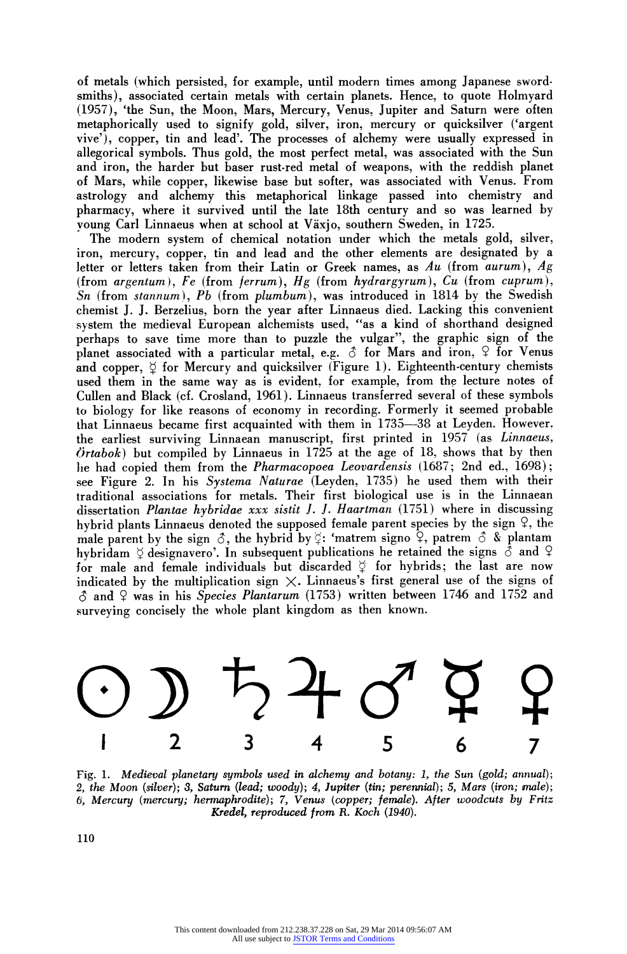**of metals (which persisted, for example, until modern times among Japanese swordsmiths), associated certain metals with certain planets. Hence, to quote Holmyard (1957), 'the Sun, the Moon, Mars, Mercury, Venus, Jupiter and Saturn were often metaphorically used to signify gold, silver, iron, mercury or quicksilver ('argent vive'), copper, tin and lead'. The processes of alchemy were usually expressed in allegorical symbols. Thus gold, the most perfect metal, was associated with the Sun and iron, the harder but baser rust-red metal of weapons, with the reddish planet of Mars, while copper, likewise base but softer, was associated with Venus. From astrology and alchemy this metaphorical linkage passed into chemistry and pharmacy, where it survived until the late 18th century and so was learned by young Carl Linnaeus when at school at Vaxjo, southern Sweden, in 1725.** 

**The modern system of chemical notation under which the metals gold, silver, iron, mercury, copper, tin and lead and the other elements are designated by a letter or letters taken from their Latin or Greek names, as Au (from aurum), Ag (from argentum), Fe (from ferrum), Hg (from hydrargyrum), Cu (from cuprum), Sn (from stannum), Pb (from plumbum), was introduced in 1814 by the Swedish chemist J. J. Berzelius, born the year after Linnaeus died. Lacking this convenient system the medieval European alchemists used, "as a kind of shorthand designed perhaps to save time more than to puzzle the vulgar", the graphic sign of the planet associated with a particular metal, e.g. S for Mars and iron, 9 for Venus**  and copper,  $\circ$  for Mercury and quicksilver (Figure 1). Eighteenth-century chemists **used them in the same way as is evident, for example, from the lecture notes of Cullen and Black (cf. Crosland, 1961). Linnaeus transferred several of these symbols to biology for like reasons of economy in recording. Formerly it seemed probable that Linnaeus became first acquainted with them in 1735-38 at Leyden. However. the earliest surviving Linnaean manuscript, first printed in 1957 (as Linnaeus, O'rtabok) but compiled by Linnaeus in 1725 at the age of 18, shows that by then lie had copied them from the Pharmacopoea Leovardensis (1687; 2nd ed., 1698); see Figure 2. In his Systema Naturae (Leyden, 1735) he used them with their traditional associations for metals. Their first biological use is in the Linnaean dissertation Plantae hybridae xxx sistit J. J. Haartman (1751) where in discussing hybrid plants Linnaeus denoted the supposed female parent species by the sign Y, the male parent by the sign**  $\delta$ **, the hybrid by**  $\zeta$ **: 'matrem signo**  $\zeta$ **, patrem**  $\delta$  **& plantam** hybridam  $\Diamond$  designavero'. In subsequent publications he retained the signs  $\Diamond$  and  $\Diamond$ for male and female individuals but discarded  $\beta$  for hybrids; the last are now indicated by the multiplication sign  $\times$ . Linnaeus's first general use of the signs of **S and Y was in his Species Plantarum (1753) written between 1746 and 1752 and surveying concisely the whole plant kingdom as then known.** 



**Fig. 1. Medieval planetary symbols used in alchemy and botany: 1, the Sun (gold; annual); 2, the Moon (silver); 3, Saturn (lead; woody); 4, Jupiter (tin; perennial); 5, Mars (iron; male); 6, Mercury (mercury; hermaphrodite); 7, Venus (copper; female). After woodcuts by Fritz Kredel, reproduced from R. Koch (1940).** 

**110**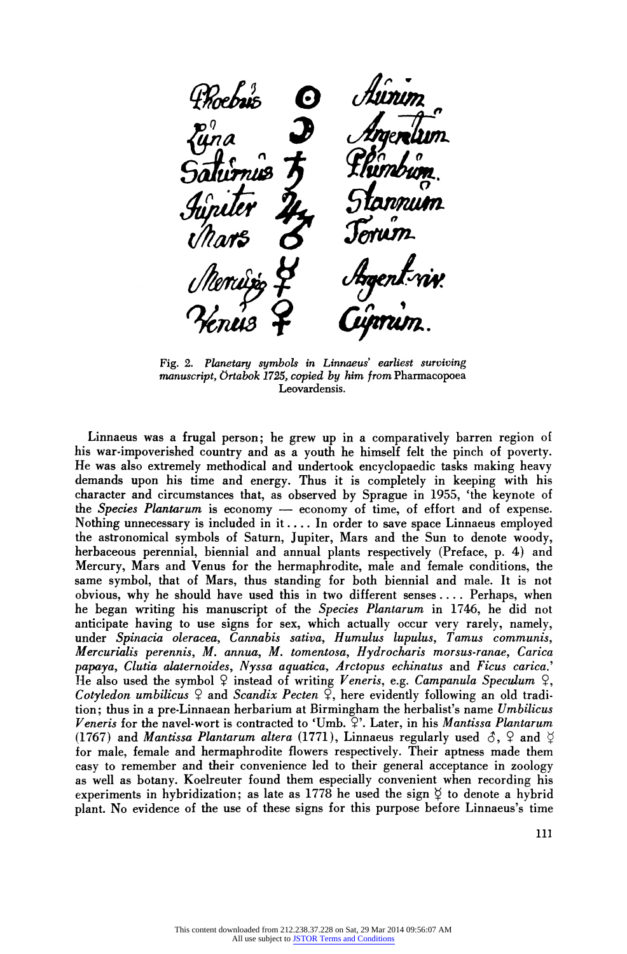**Fig. 2. Planetary symbols in Linnaeus' earliest surviving manuscript, Ortabok 1725, copied by him from Pharmacopoea Leovardensis.** 

**Linnaeus was a frugal person; he grew up in a comparatively barren region of his war-impoverished country and as a youth he himself felt the pinch of poverty. He was also extremely methodical and undertook encyclopaedic tasks making heavy demands upon his time and energy. Thus it is completely in keeping with his character and circumstances that, as observed by Sprague in 1955, 'the keynote of the Species Plantarum is economy - economy of time, of effort and of expense. Nothing unnecessary is included in it.... In order to save space Linnaeus employed the astronomical symbols of Saturn, Jupiter, Mars and the Sun to denote woody, herbaceous perennial, biennial and annual plants respectively (Preface, p. 4) and Mercury, Mars and Venus for the hermaphrodite, male and female conditions, the same symbol, that of Mars, thus standing for both biennial and male. It is not obvious, why he should have used this in two different senses.... Perhaps, when he began writing his manuscript of the Species Plantarum in 1746, he did not anticipate having to use signs for sex, which actually occur very rarely, namely, under Spinacia oleracea, Cannabis sativa, Humulus lupulus, Tamus communis, Mercurialis perennis, M. annua, M. tomentosa, Hydrocharis morsus-ranae, Carica papaya, Clutia alaternoides, Nyssa aquatica, Arctopus echinatus and Ficus carica.' He also used the symbol Y instead of writing Veneris, e.g. Campanula Speculum 9, Cotyledon umbilicus Y and Scandix Pecten 9, here evidently following an old tradition; thus in a pre-Linnaean herbarium at Birmingham the herbalist's name Umbilicus Veneris for the navel-wort is contracted to 'Umb. 9'. Later, in his Mantissa Plantarum (1767) and Mantissa Plantarum altera (1771), Linnaeus regularly used**  $\delta$ **,**  $\Omega$  **and**  $\beta$ **for male, female and hermaphrodite flowers respectively. Their aptness made them easy to remember and their convenience led to their general acceptance in zoology as well as botany. Koelreuter found them especially convenient when recording his**  experiments in hybridization; as late as 1778 he used the sign  $\circ$  to denote a hybrid **plant. No evidence of the use of these signs for this purpose before Linnaeus's time**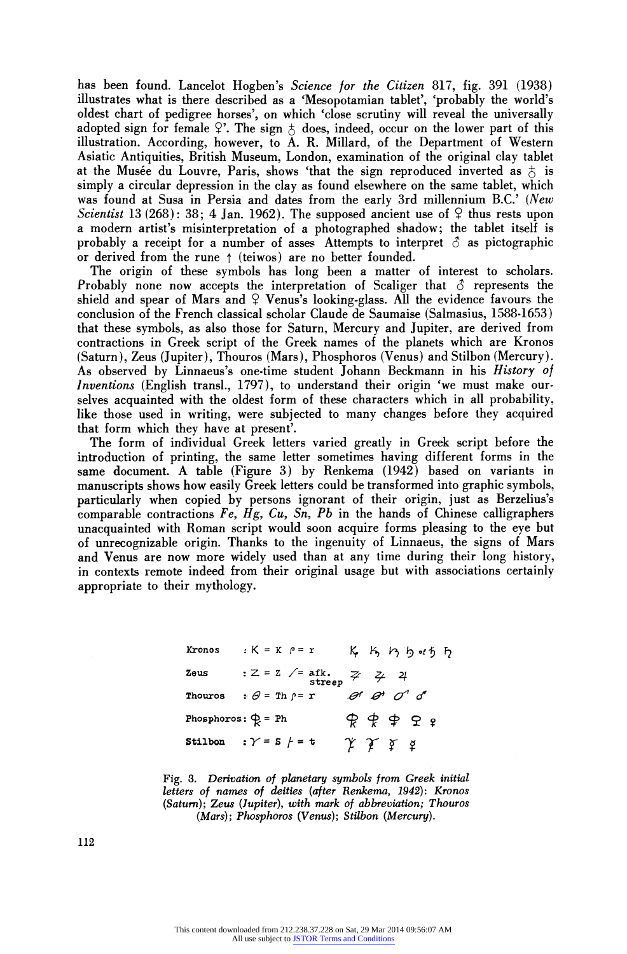**has been found. Lancelot Hogben's Science for the Citizen 817, fig. 391 (1938) illustrates what is there described as a 'Mesopotamian tablet', 'probably the world's oldest chart of pedigree horses', on which 'close scrutiny will reveal the universally**  adopted sign for female  $9$ . The sign  $5$  does, indeed, occur on the lower part of this **illustration. According, however, to A. R. Millard, of the Department of Western Asiatic Antiquities, British Museum, London, examination of the original clay tablet**  at the Musée du Louvre, Paris, shows 'that the sign reproduced inverted as  $\phi$  is **simply a circular depression in the clay as found elsewhere on the same tablet, which was found at Susa in Persia and dates from the early 3rd millennium B.C.' (New**  Scientist 13 (268): 38; 4 Jan. 1962). The supposed ancient use of  $\frac{1}{2}$  thus rests upon **a modern artist's misinterpretation of a photographed shadow; the tablet itself is**  probably a receipt for a number of asses Attempts to interpret  $\delta$  as pictographic or derived from the rune  $\uparrow$  (teiwos) are no better founded.

**The origin of these symbols has long been a matter of interest to scholars.**  Probably none now accepts the interpretation of Scaliger that  $\delta$  represents the shield and spear of Mars and  $\varphi$  Venus's looking-glass. All the evidence favours the **conclusion of the French classical scholar Claude de Saumaise (Salmasius, 1588-1653) that these symbols, as also those for Saturn, Mercury and Jupiter, are derived from contractions in Greek script of the Greek names of the planets which are Kronos (Saturn), Zeus (Jupiter), Thouros (Mars), Phosphoros (Venus) and Stilbon (Mercury). As observed by Linnaeus's one-time student Johann Beckmann in his History of Inventions (English transl., 1797), to understand their origin 'we must make ourselves acquainted with the oldest form of these characters which in all probability, like those used in writing, were subjected to many changes before they acquired that form which they have at present'.** 

**The form of individual Greek letters varied greatly in Greek script before the introduction of printing, the same letter sometimes having different forms in the same document. A table (Figure 3) by Renkema (1942) based on variants in manuscripts shows how easily Greek letters could be transformed into graphic symbols, particularly when copied by persons ignorant of their origin, just as Berzelius's comparable contractions Fe, Hg, Cu, Sn, Pb in the hands of Chinese calligraphers unacquainted with Roman script would soon acquire forms pleasing to the eye but of unrecognizable origin. Thanks to the ingenuity of Linnaeus, the signs of Mars and Venus are now more widely used than at any time during their long history, in contexts remote indeed from their original usage but with associations certainly appropriate to their mythology.** 

> **Kronos**  $K = K \cap F = r$  **K K h h b f h Zeus** : Z = Z /= afk.<br>**stree ~ 2~**   $\overline{a}$ **Thouros**  $\mathbf{:} \theta = \text{Th } \rho = \mathbf{r}$  **ex ex Phosphoros:**  $\phi = Ph$   $\phi \phi \phi \phi$ Stilbon :  $\gamma = s$   $f = t$  $\gamma$   $\gamma$   $\gamma$   $\alpha$

**Fig. 3. Derivation of planetary symbols from Greek initial letters of names of deities (after Renkema, 1942): Kronos (Saturn); Zeus (Jupiter), with mark of abbreviation; Thouros (Mars); Phosphoros (Venus); Stilbon (Mercury).** 

**112**